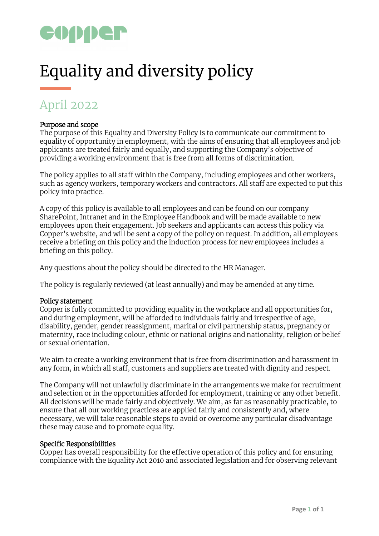

# Equality and diversity policy

# April 2022

# Purpose and scope

The purpose of this Equality and Diversity Policy is to communicate our commitment to equality of opportunity in employment, with the aims of ensuring that all employees and job applicants are treated fairly and equally, and supporting the Company's objective of providing a working environment that is free from all forms of discrimination.

The policy applies to all staff within the Company, including employees and other workers, such as agency workers, temporary workers and contractors. All staff are expected to put this policy into practice.

A copy of this policy is available to all employees and can be found on our company SharePoint, Intranet and in the Employee Handbook and will be made available to new employees upon their engagement. Job seekers and applicants can access this policy via Copper's website, and will be sent a copy of the policy on request. In addition, all employees receive a briefing on this policy and the induction process for new employees includes a briefing on this policy.

Any questions about the policy should be directed to the HR Manager.

The policy is regularly reviewed (at least annually) and may be amended at any time.

#### Policy statement

Copper is fully committed to providing equality in the workplace and all opportunities for, and during employment, will be afforded to individuals fairly and irrespective of age, disability, gender, gender reassignment, marital or civil partnership status, pregnancy or maternity, race including colour, ethnic or national origins and nationality, religion or belief or sexual orientation.

We aim to create a working environment that is free from discrimination and harassment in any form, in which all staff, customers and suppliers are treated with dignity and respect.

The Company will not unlawfully discriminate in the arrangements we make for recruitment and selection or in the opportunities afforded for employment, training or any other benefit. All decisions will be made fairly and objectively. We aim, as far as reasonably practicable, to ensure that all our working practices are applied fairly and consistently and, where necessary, we will take reasonable steps to avoid or overcome any particular disadvantage these may cause and to promote equality.

#### Specific Responsibilities

Copper has overall responsibility for the effective operation of this policy and for ensuring compliance with the Equality Act 2010 and associated legislation and for observing relevant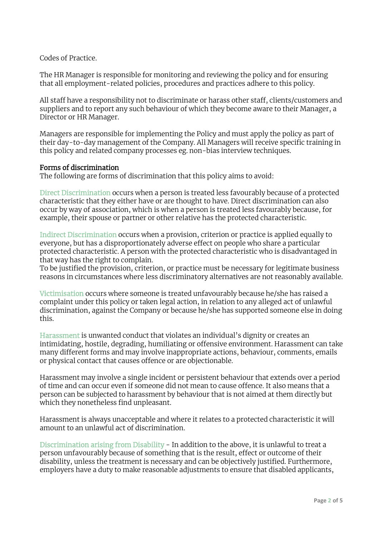Codes of Practice.

The HR Manager is responsible for monitoring and reviewing the policy and for ensuring that all employment-related policies, procedures and practices adhere to this policy.

All staff have a responsibility not to discriminate or harass other staff, clients/customers and suppliers and to report any such behaviour of which they become aware to their Manager, a Director or HR Manager.

Managers are responsible for implementing the Policy and must apply the policy as part of their day-to-day management of the Company. All Managers will receive specific training in this policy and related company processes eg. non-bias interview techniques.

#### Forms of discrimination

The following are forms of discrimination that this policy aims to avoid:

Direct Discrimination occurs when a person is treated less favourably because of a protected characteristic that they either have or are thought to have. Direct discrimination can also occur by way of association, which is when a person is treated less favourably because, for example, their spouse or partner or other relative has the protected characteristic.

Indirect Discrimination occurs when a provision, criterion or practice is applied equally to everyone, but has a disproportionately adverse effect on people who share a particular protected characteristic. A person with the protected characteristic who is disadvantaged in that way has the right to complain.

To be justified the provision, criterion, or practice must be necessary for legitimate business reasons in circumstances where less discriminatory alternatives are not reasonably available.

Victimisation occurs where someone is treated unfavourably because he/she has raised a complaint under this policy or taken legal action, in relation to any alleged act of unlawful discrimination, against the Company or because he/she has supported someone else in doing this.

Harassment is unwanted conduct that violates an individual's dignity or creates an intimidating, hostile, degrading, humiliating or offensive environment. Harassment can take many different forms and may involve inappropriate actions, behaviour, comments, emails or physical contact that causes offence or are objectionable.

Harassment may involve a single incident or persistent behaviour that extends over a period of time and can occur even if someone did not mean to cause offence. It also means that a person can be subjected to harassment by behaviour that is not aimed at them directly but which they nonetheless find unpleasant.

Harassment is always unacceptable and where it relates to a protected characteristic it will amount to an unlawful act of discrimination.

Discrimination arising from Disability - In addition to the above, it is unlawful to treat a person unfavourably because of something that is the result, effect or outcome of their disability, unless the treatment is necessary and can be objectively justified. Furthermore, employers have a duty to make reasonable adjustments to ensure that disabled applicants,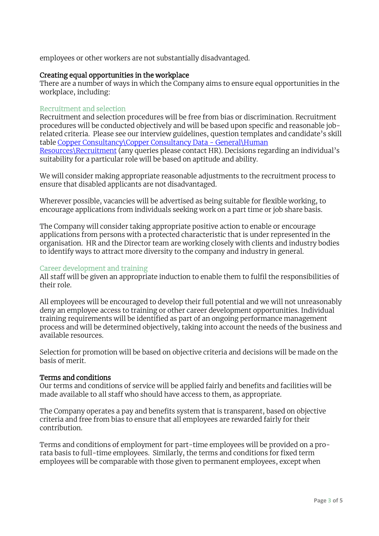employees or other workers are not substantially disadvantaged.

## Creating equal opportunities in the workplace

There are a number of ways in which the Company aims to ensure equal opportunities in the workplace, including:

#### Recruitment and selection

Recruitment and selection procedures will be free from bias or discrimination. Recruitment procedures will be conducted objectively and will be based upon specific and reasonable jobrelated criteria. Please see our interview guidelines, question templates and candidate's skill table Copper Consultancy\Copper Consultancy Data - General\Human Resources\Recruitment (any queries please contact HR). Decisions regarding an individual's suitability for a particular role will be based on aptitude and ability.

We will consider making appropriate reasonable adjustments to the recruitment process to ensure that disabled applicants are not disadvantaged.

Wherever possible, vacancies will be advertised as being suitable for flexible working, to encourage applications from individuals seeking work on a part time or job share basis.

The Company will consider taking appropriate positive action to enable or encourage applications from persons with a protected characteristic that is under represented in the organisation. HR and the Director team are working closely with clients and industry bodies to identify ways to attract more diversity to the company and industry in general.

#### Career development and training

All staff will be given an appropriate induction to enable them to fulfil the responsibilities of their role.

All employees will be encouraged to develop their full potential and we will not unreasonably deny an employee access to training or other career development opportunities. Individual training requirements will be identified as part of an ongoing performance management process and will be determined objectively, taking into account the needs of the business and available resources.

Selection for promotion will be based on objective criteria and decisions will be made on the basis of merit.

#### Terms and conditions

Our terms and conditions of service will be applied fairly and benefits and facilities will be made available to all staff who should have access to them, as appropriate.

The Company operates a pay and benefits system that is transparent, based on objective criteria and free from bias to ensure that all employees are rewarded fairly for their contribution.

Terms and conditions of employment for part-time employees will be provided on a prorata basis to full-time employees. Similarly, the terms and conditions for fixed term employees will be comparable with those given to permanent employees, except when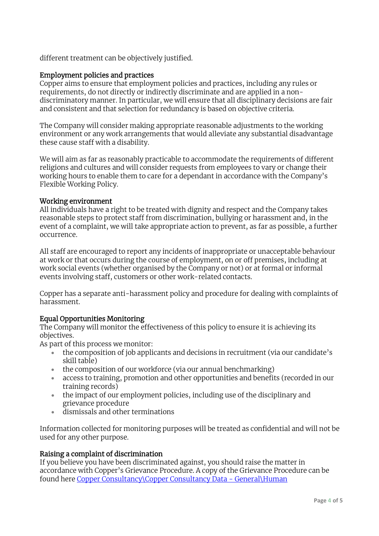different treatment can be objectively justified.

# Employment policies and practices

Copper aims to ensure that employment policies and practices, including any rules or requirements, do not directly or indirectly discriminate and are applied in a nondiscriminatory manner. In particular, we will ensure that all disciplinary decisions are fair and consistent and that selection for redundancy is based on objective criteria.

The Company will consider making appropriate reasonable adjustments to the working environment or any work arrangements that would alleviate any substantial disadvantage these cause staff with a disability.

We will aim as far as reasonably practicable to accommodate the requirements of different religions and cultures and will consider requests from employees to vary or change their working hours to enable them to care for a dependant in accordance with the Company's Flexible Working Policy.

## Working environment

All individuals have a right to be treated with dignity and respect and the Company takes reasonable steps to protect staff from discrimination, bullying or harassment and, in the event of a complaint, we will take appropriate action to prevent, as far as possible, a further occurrence.

All staff are encouraged to report any incidents of inappropriate or unacceptable behaviour at work or that occurs during the course of employment, on or off premises, including at work social events (whether organised by the Company or not) or at formal or informal events involving staff, customers or other work-related contacts.

Copper has a separate anti-harassment policy and procedure for dealing with complaints of harassment.

# Equal Opportunities Monitoring

The Company will monitor the effectiveness of this policy to ensure it is achieving its objectives.

As part of this process we monitor:

- the composition of job applicants and decisions in recruitment (via our candidate's skill table)
- the composition of our workforce (via our annual benchmarking)
- access to training, promotion and other opportunities and benefits (recorded in our training records)
- the impact of our employment policies, including use of the disciplinary and grievance procedure
- dismissals and other terminations

Information collected for monitoring purposes will be treated as confidential and will not be used for any other purpose.

# Raising a complaint of discrimination

If you believe you have been discriminated against, you should raise the matter in accordance with Copper's Grievance Procedure. A copy of the Grievance Procedure can be found here Copper Consultancy\Copper Consultancy Data - General\Human